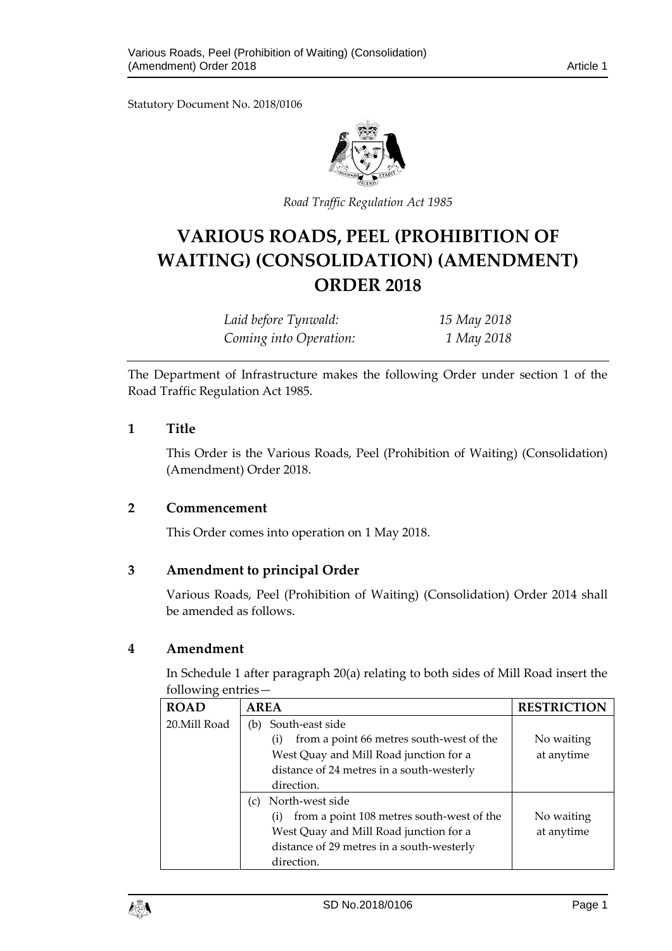Statutory Document No. 2018/0106



*Road Traffic Regulation Act 1985*

# **VARIOUS ROADS, PEEL (PROHIBITION OF WAITING) (CONSOLIDATION) (AMENDMENT) ORDER 2018**

| Laid before Tynwald:   | 15 May 2018 |
|------------------------|-------------|
| Coming into Operation: | 1 May 2018  |

The Department of Infrastructure makes the following Order under section 1 of the Road Traffic Regulation Act 1985.

# **1 Title**

This Order is the Various Roads, Peel (Prohibition of Waiting) (Consolidation) (Amendment) Order 2018.

# **2 Commencement**

This Order comes into operation on 1 May 2018.

# **3 Amendment to principal Order**

Various Roads, Peel (Prohibition of Waiting) (Consolidation) Order 2014 shall be amended as follows.

#### **4 Amendment**

In Schedule 1 after paragraph 20(a) relating to both sides of Mill Road insert the following entries—

| <b>ROAD</b>  | <b>AREA</b>                                                    | <b>RESTRICTION</b> |
|--------------|----------------------------------------------------------------|--------------------|
| 20.Mill Road | South-east side<br>(b)                                         |                    |
|              | from a point 66 metres south-west of the<br>$\rm(i)$           | No waiting         |
|              | West Quay and Mill Road junction for a                         | at anytime         |
|              | distance of 24 metres in a south-westerly                      |                    |
|              | direction.                                                     |                    |
|              | North-west side<br>$\left( c \right)$                          |                    |
|              | from a point 108 metres south-west of the<br>$\left( i\right)$ | No waiting         |
|              | West Quay and Mill Road junction for a                         | at anytime         |
|              | distance of 29 metres in a south-westerly                      |                    |
|              | direction.                                                     |                    |

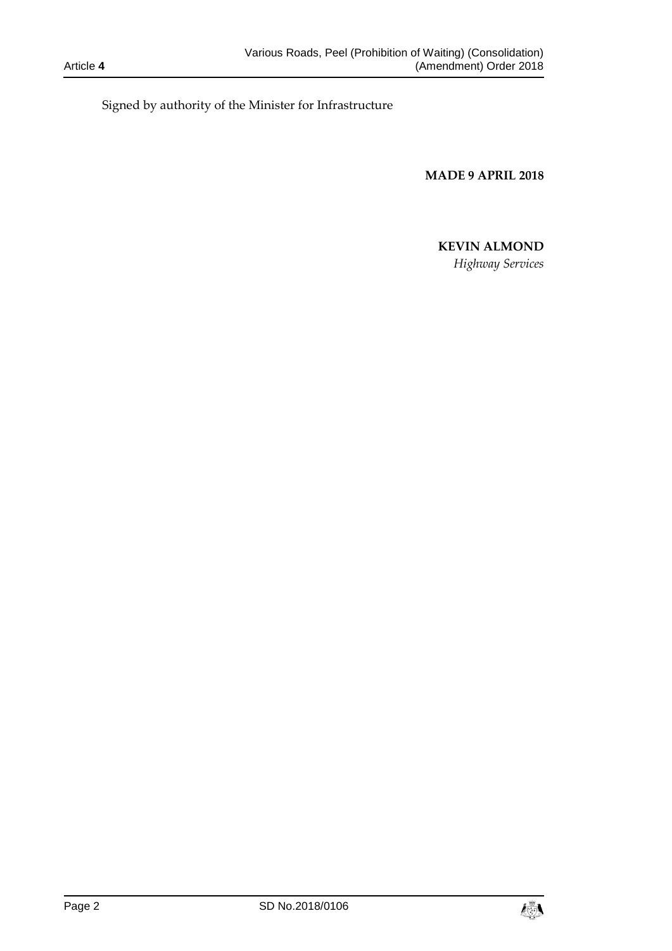Signed by authority of the Minister for Infrastructure

**MADE 9 APRIL 2018**

# **KEVIN ALMOND**

*Highway Services*